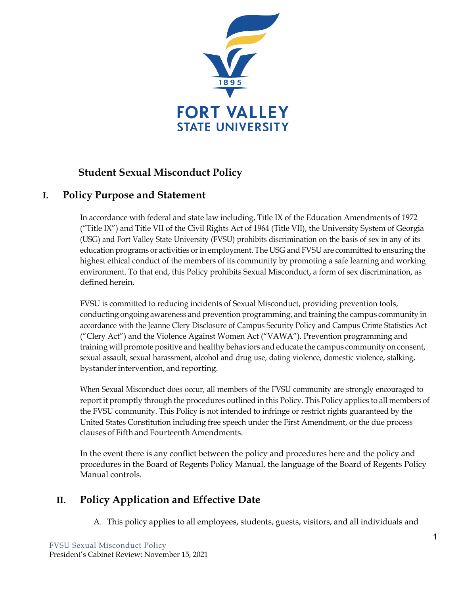

# **Student Sexual Misconduct Policy**

## **I. Policy Purpose and Statement**

In accordance with federal and state law including, Title IX of the Education Amendments of 1972 ("Title IX") and Title VII of the Civil Rights Act of 1964 (Title VII), the University System of Georgia (USG) and Fort Valley State University (FVSU) prohibits discrimination on the basis of sex in any of its education programs or activities or in employment. The USG and FVSU are committed to ensuring the highest ethical conduct of the members of its community by promoting a safe learning and working environment. To that end, this Policy prohibits Sexual Misconduct, a form of sex discrimination, as defined herein.

FVSU is committed to reducing incidents of Sexual Misconduct, providing prevention tools, conducting ongoing awareness and prevention programming, and training the campus community in accordance with the Jeanne Clery Disclosure of Campus Security Policy and Campus Crime Statistics Act ("Clery Act") and the Violence Against Women Act ("VAWA"). Prevention programming and training will promote positive and healthy behaviors and educate the campus community on consent, sexual assault, sexual harassment, alcohol and drug use, dating violence, domestic violence, stalking, bystander intervention, and reporting.

When Sexual Misconduct does occur, all members of the FVSU community are strongly encouraged to report it promptly through the procedures outlined in this Policy. This Policy applies to all members of the FVSU community. This Policy is not intended to infringe or restrict rights guaranteed by the United States Constitution including free speech under the First Amendment, or the due process clauses of Fifth and Fourteenth Amendments.

In the event there is any conflict between the policy and procedures here and the policy and procedures in the Board of Regents Policy Manual, the language of the Board of Regents Policy Manual controls.

# **II. Policy Application and Effective Date**

A. This policy applies to all employees, students, guests, visitors, and all individuals and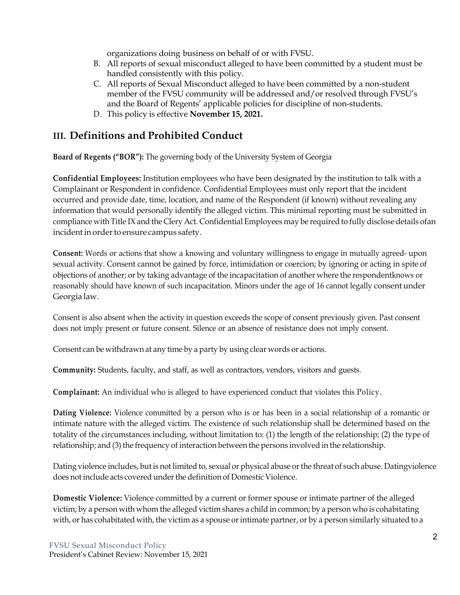organizations doing business on behalf of or with FVSU.

- B. All reports of sexual misconduct alleged to have been committed by a student must be handled consistently with this policy.
- C. All reports of Sexual Misconduct alleged to have been committed by a non-student member of the FVSU community will be addressed and/or resolved through FVSU's and the Board of Regents' applicable policies for discipline of non-students.
- D. This policy is effective **November 15, 2021.**

# **III. Definitions and Prohibited Conduct**

 **Board of Regents ("BOR"):** The governing body of the University System of Georgia

**Confidential Employees:** Institution employees who have been designated by the institution to talk with a Complainant or Respondent in confidence. Confidential Employees must only report that the incident occurred and provide date, time, location, and name of the Respondent (if known) without revealing any information that would personally identify the alleged victim. This minimal reporting must be submitted in compliance with Title IXand the Clery Act. Confidential Employees may be required to fully disclose details ofan incident in order to ensure campus safety.

**Consent:** Words or actions that show a knowing and voluntary willingness to engage in mutually agreed- upon sexual activity. Consent cannot be gained by force, intimidation or coercion; by ignoring or acting in spite of objections of another; or by taking advantage of the incapacitation of another where the respondentknows or reasonably should have known of such incapacitation. Minors under the age of 16 cannot legally consent under Georgia law.

Consent is also absent when the activity in question exceeds the scope of consent previously given. Past consent does not imply present or future consent. Silence or an absence of resistance does not imply consent.

Consent can be withdrawn at any time by a party by using clear words or actions.

 **Community:** Students, faculty, and staff, as well as contractors, vendors, visitors and guests.

 **Complainant:** An individual who is alleged to have experienced conduct that violates this Policy.

**Dating Violence:** Violence committed by a person who is or has been in a social relationship of a romantic or intimate nature with the alleged victim. The existence of such relationship shall be determined based on the totality of the circumstances including, without limitation to: (1) the length of the relationship; (2) the type of relationship; and (3) the frequency of interaction between the persons involved in the relationship.

Dating violence includes, but is not limited to, sexual or physical abuse or the threat of such abuse. Datingviolence does not include acts covered under the definition of Domestic Violence.

**Domestic Violence:** Violence committed by a current or former spouse or intimate partner of the alleged victim; by a person with whom the alleged victim shares a child in common; by a person who is cohabitating with, or has cohabitated with, the victim as a spouse or intimate partner, or by a person similarly situated to a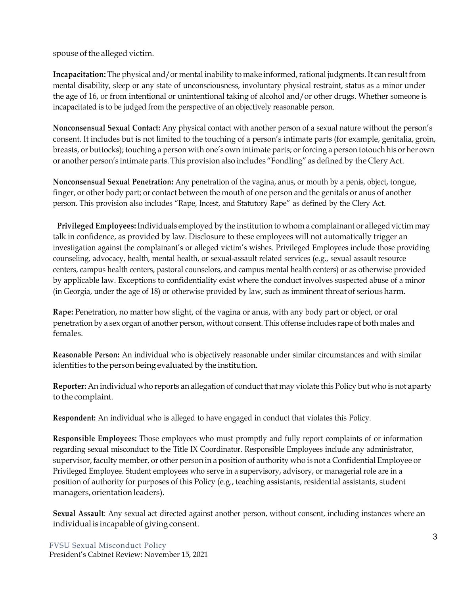spouse of the alleged victim.

**Incapacitation:** The physical and/or mental inability to make informed, rational judgments. It can result from mental disability, sleep or any state of unconsciousness, involuntary physical restraint, status as a minor under the age of 16, or from intentional or unintentional taking of alcohol and/or other drugs. Whether someone is incapacitated is to be judged from the perspective of an objectively reasonable person.

**Nonconsensual Sexual Contact:** Any physical contact with another person of a sexual nature without the person's consent. It includes but is not limited to the touching of a person's intimate parts (for example, genitalia, groin, breasts, or buttocks); touching a person with one's own intimate parts; or forcing a person totouch his or her own or another person's intimate parts. This provision also includes "Fondling" as defined by the Clery Act.

**Nonconsensual Sexual Penetration:** Any penetration of the vagina, anus, or mouth by a penis, object, tongue, finger, or other body part; or contact between the mouth of one person and the genitals or anus of another person. This provision also includes "Rape, Incest, and Statutory Rape" as defined by the Clery Act.

 **Privileged Employees:** Individuals employed by the institution to whom a complainant or alleged victim may talk in confidence, as provided by law. Disclosure to these employees will not automatically trigger an investigation against the complainant's or alleged victim's wishes. Privileged Employees include those providing counseling, advocacy, health, mental health, or sexual-assault related services (e.g., sexual assault resource centers, campus health centers, pastoral counselors, and campus mental health centers) or as otherwise provided by applicable law. Exceptions to confidentiality exist where the conduct involves suspected abuse of a minor (in Georgia, under the age of 18) or otherwise provided by law, such as imminent threat of serious harm.

**Rape:** Penetration, no matter how slight, of the vagina or anus, with any body part or object, or oral penetration by a sex organ of another person, without consent. This offense includes rape of both males and females.

**Reasonable Person:** An individual who is objectively reasonable under similar circumstances and with similar identities to the person being evaluated by the institution.

**Reporter:** An individual who reports an allegation of conduct that may violate this Policy but who is not aparty to the complaint.

**Respondent:** An individual who is alleged to have engaged in conduct that violates this Policy.

**Responsible Employees:** Those employees who must promptly and fully report complaints of or information regarding sexual misconduct to the Title IX Coordinator. Responsible Employees include any administrator, supervisor, faculty member, or other person in a position of authority who is not a Confidential Employee or Privileged Employee. Student employees who serve in a supervisory, advisory, or managerial role are in a position of authority for purposes of this Policy (e.g., teaching assistants, residential assistants, student managers, orientation leaders).

**Sexual Assault**: Any sexual act directed against another person, without consent, including instances where an individual is incapable of giving consent.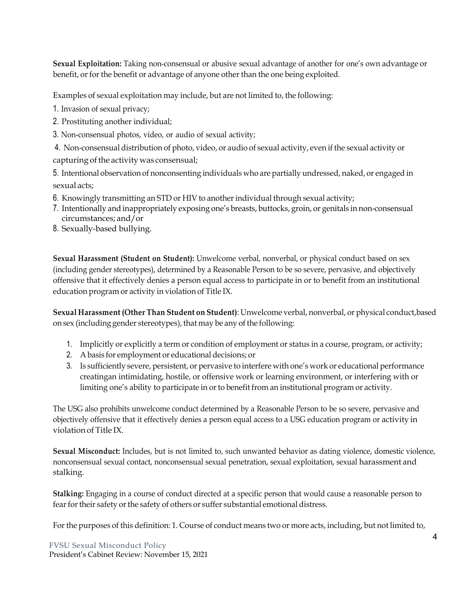**Sexual Exploitation:** Taking non-consensual or abusive sexual advantage of another for one's own advantage or benefit, or for the benefit or advantage of anyone other than the one being exploited.

Examples of sexual exploitation may include, but are not limited to, the following:

1. Invasion of sexual privacy;

- 2. Prostituting another individual;
- 3. Non-consensual photos, video, or audio of sexual activity;

4. Non-consensual distribution of photo, video, or audio of sexual activity, even if the sexual activity or capturing of the activity was consensual;

5. Intentional observation of nonconsenting individuals who are partially undressed, naked, or engaged in sexual acts;

- 6. Knowingly transmitting an STD or HIV to another individual through sexual activity;
- 7. Intentionally and inappropriately exposing one's breasts, buttocks, groin, or genitals in non-consensual circumstances; and/or
- 8. Sexually-based bullying.

**Sexual Harassment (Student on Student):** Unwelcome verbal, nonverbal, or physical conduct based on sex (including gender stereotypes), determined by a Reasonable Person to be so severe, pervasive, and objectively offensive that it effectively denies a person equal access to participate in or to benefit from an institutional education program or activity in violation of Title IX.

**Sexual Harassment (Other Than Student on Student)**: Unwelcome verbal, nonverbal, or physical conduct,based on sex (including gender stereotypes), that may be any of the following:

- 1. Implicitly or explicitly a term or condition of employment or status in a course, program, or activity;
- 2. A basis for employment or educational decisions; or
- 3. Is sufficiently severe, persistent, or pervasive to interfere with one's work or educational performance creatingan intimidating, hostile, or offensive work or learning environment, or interfering with or limiting one's ability to participate in or to benefit from an institutional program or activity.

The USG also prohibits unwelcome conduct determined by a Reasonable Person to be so severe, pervasive and objectively offensive that it effectively denies a person equal access to a USG education program or activity in violation of Title IX.

**Sexual Misconduct:** Includes, but is not limited to, such unwanted behavior as dating violence, domestic violence, nonconsensual sexual contact, nonconsensual sexual penetration, sexual exploitation, sexual harassment and stalking.

**Stalking:** Engaging in a course of conduct directed at a specific person that would cause a reasonable person to fear for their safety or the safety of others or suffer substantial emotional distress.

Forthe purposes of this definition: 1. Course of conduct means two or more acts, including, but not limited to,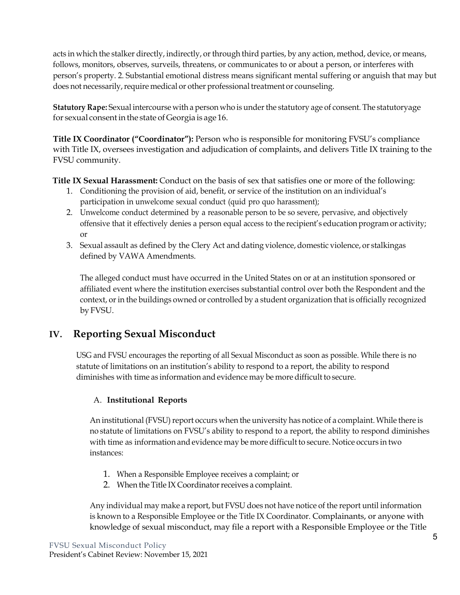acts in which the stalker directly, indirectly, orthrough third parties, by any action, method, device, or means, follows, monitors, observes, surveils, threatens, or communicates to or about a person, or interferes with person's property. 2. Substantial emotional distress means significant mental suffering or anguish that may but does not necessarily, require medical or other professional treatment or counseling.

**Statutory Rape:** Sexual intercourse with a person who is underthe statutory age of consent. The statutoryage for sexual consent in the state of Georgia is age 16.

**Title IX Coordinator ("Coordinator"):** Person who is responsible for monitoring FVSU's compliance with Title IX, oversees investigation and adjudication of complaints, and delivers Title IX training to the FVSU community.

**Title IX Sexual Harassment:** Conduct on the basis of sex that satisfies one or more of the following:

- 1. Conditioning the provision of aid, benefit, or service of the institution on an individual's participation in unwelcome sexual conduct (quid pro quo harassment);
- 2. Unwelcome conduct determined by a reasonable person to be so severe, pervasive, and objectively offensive that it effectively denies a person equal access to the recipient's education program or activity; or
- 3. Sexual assault as defined by the Clery Act and dating violence, domestic violence, or stalkingas defined by VAWA Amendments.

The alleged conduct must have occurred in the United States on or at an institution sponsored or affiliated event where the institution exercises substantial control over both the Respondent and the context, or in the buildings owned or controlled by a student organization that is officially recognized by FVSU.

# **IV. Reporting Sexual Misconduct**

USG and FVSU encourages the reporting of all Sexual Misconduct as soon as possible. While there is no statute of limitations on an institution's ability to respond to a report, the ability to respond diminishes with time as information and evidence may be more difficult to secure.

### A. **Institutional Reports**

An institutional (FVSU) report occurs when the university has notice of a complaint. While there is no statute of limitations on FVSU's ability to respond to a report, the ability to respond diminishes with time as information and evidence may be more difficult to secure. Notice occurs in two instances:

- 1. When a Responsible Employee receives a complaint; or
- 2. When the Title IX Coordinator receives a complaint.

Any individual may make a report, but FVSU does not have notice of the report until information is known to a Responsible Employee or the Title IX Coordinator. Complainants, or anyone with knowledge of sexual misconduct, may file a report with a Responsible Employee or the Title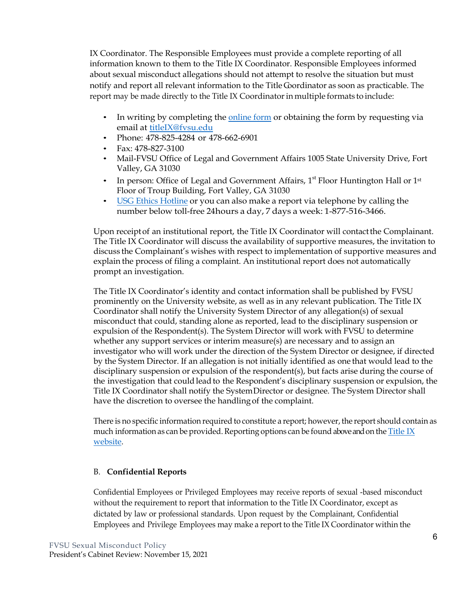IX Coordinator. The Responsible Employees must provide a complete reporting of all information known to them to the Title IX Coordinator. Responsible Employees informed about sexual misconduct allegations should not attempt to resolve the situation but must notify and report all relevant information to the Title Coordinator as soon as practicable. The report may be made directly to the Title IX Coordinatorin multiple formats to include:

- In writing by completing the online form or obtaining the form by requesting via email at titleIX@fvsu.edu
- Phone: 478-825-4284 or 478-662-6901
- Fax: 478-827-3100
- Mail-FVSU Office of Legal and Government Affairs 1005 State University Drive, Fort Valley, GA 31030
- In person: Office of Legal and Government Affairs,  $1<sup>st</sup>$  Floor Huntington Hall or  $1<sup>st</sup>$ Floor of Troup Building, Fort Valley, GA 31030
- USG Ethics Hotline or you can also make a report via telephone by calling the number below toll-free 24hours a day, 7 days a week: 1-877-516-3466.

Upon receiptof an institutional report, the Title IX Coordinator will contactthe Complainant. The Title IX Coordinator will discuss the availability of supportive measures, the invitation to discuss the Complainant's wishes with respect to implementation of supportive measures and explain the process of filing a complaint. An institutional report does not automatically prompt an investigation.

The Title IX Coordinator's identity and contact information shall be published by FVSU prominently on the University website, as well as in any relevant publication. The Title IX Coordinator shall notify the University System Director of any allegation(s) of sexual misconduct that could, standing alone as reported, lead to the disciplinary suspension or expulsion of the Respondent(s). The System Director will work with FVSU to determine whether any support services or interim measure(s) are necessary and to assign an investigator who will work under the direction of the System Director or designee, if directed by the System Director. If an allegation is not initially identified as one that would lead to the disciplinary suspension or expulsion of the respondent(s), but facts arise during the course of the investigation that could lead to the Respondent's disciplinary suspension or expulsion, the Title IX Coordinator shall notify the System Director or designee. The System Director shall have the discretion to oversee the handling of the complaint.

There is no specific information required to constitute a report; however, the report should contain as much information as can be provided. Reporting options can be found above and on the Title IX website.

#### B. **Confidential Reports**

Confidential Employees or Privileged Employees may receive reports of sexual -based misconduct without the requirement to report that information to the Title IX Coordinator, except as dictated by law or professional standards. Upon request by the Complainant, Confidential Employees and Privilege Employees may make a report to the Title IX Coordinator within the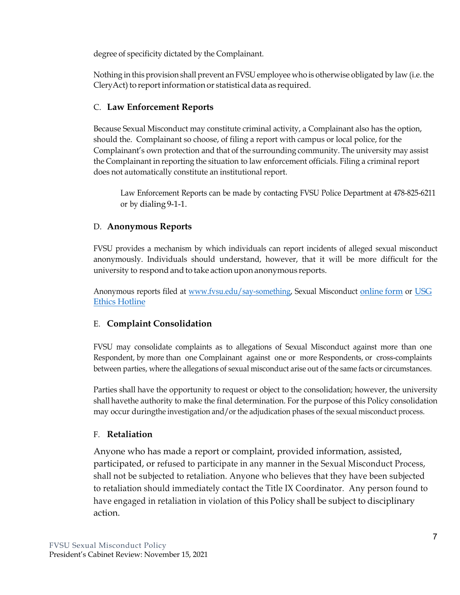degree of specificity dictated by the Complainant.

Nothing in this provision shall prevent an FVSU employee who is otherwise obligated by law (i.e. the CleryAct) to report information or statistical data as required.

## C. **Law Enforcement Reports**

Because Sexual Misconduct may constitute criminal activity, a Complainant also has the option, should the. Complainant so choose, of filing a report with campus or local police, for the Complainant's own protection and that of the surrounding community. The university may assist the Complainant in reporting the situation to law enforcement officials. Filing a criminal report does not automatically constitute an institutional report.

Law Enforcement Reports can be made by contacting FVSU Police Department at 478-825-6211 or by dialing 9-1-1.

## D. **Anonymous Reports**

FVSU provides a mechanism by which individuals can report incidents of alleged sexual misconduct anonymously. Individuals should understand, however, that it will be more difficult for the university to respond and to take action upon anonymous reports.

Anonymous reports filed at www.fvsu.edu/say-something, Sexual Misconduct online form or USG Ethics Hotline

## E. **Complaint Consolidation**

FVSU may consolidate complaints as to allegations of Sexual Misconduct against more than one Respondent, by more than one Complainant against one or more Respondents, or cross-complaints between parties, where the allegations of sexual misconduct arise out of the same facts or circumstances.

Parties shall have the opportunity to request or object to the consolidation; however, the university shall havethe authority to make the final determination. For the purpose of this Policy consolidation may occur duringthe investigation and/or the adjudication phases of the sexual misconduct process.

### F. **Retaliation**

Anyone who has made a report or complaint, provided information, assisted, participated, or refused to participate in any manner in the Sexual Misconduct Process, shall not be subjected to retaliation. Anyone who believes that they have been subjected to retaliation should immediately contact the Title IX Coordinator. Any person found to have engaged in retaliation in violation of this Policy shall be subject to disciplinary action.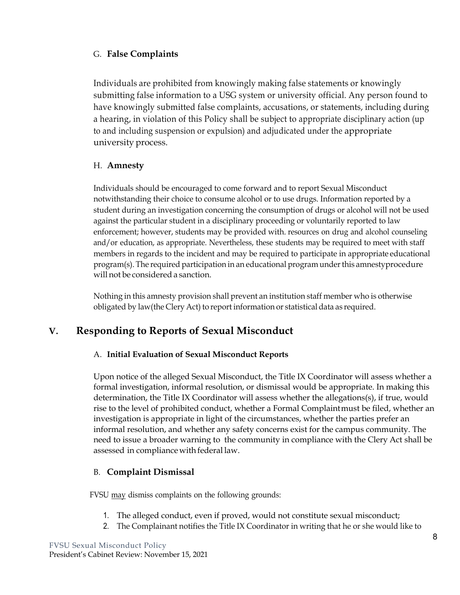### G. **False Complaints**

Individuals are prohibited from knowingly making false statements or knowingly submitting false information to a USG system or university official. Any person found to have knowingly submitted false complaints, accusations, or statements, including during a hearing, in violation of this Policy shall be subject to appropriate disciplinary action (up to and including suspension or expulsion) and adjudicated under the appropriate university process.

#### H. **Amnesty**

Individuals should be encouraged to come forward and to report Sexual Misconduct notwithstanding their choice to consume alcohol or to use drugs. Information reported by a student during an investigation concerning the consumption of drugs or alcohol will not be used against the particular student in a disciplinary proceeding or voluntarily reported to law enforcement; however, students may be provided with. resources on drug and alcohol counseling and/or education, as appropriate. Nevertheless, these students may be required to meet with staff members in regards to the incident and may be required to participate in appropriate educational program(s). The required participation in an educational program underthis amnestyprocedure will not be considered a sanction.

Nothing in this amnesty provision shall prevent an institution staff member who is otherwise obligated by law(the Clery Act) to report information or statistical data as required.

## **V. Responding to Reports of Sexual Misconduct**

#### A. **Initial Evaluation of Sexual Misconduct Reports**

Upon notice of the alleged Sexual Misconduct, the Title IX Coordinator will assess whether a formal investigation, informal resolution, or dismissal would be appropriate. In making this determination, the Title IX Coordinator will assess whether the allegations(s), if true, would rise to the level of prohibited conduct, whether a Formal Complaint must be filed, whether an investigation is appropriate in light of the circumstances, whether the parties prefer an informal resolution, and whether any safety concerns exist for the campus community. The need to issue a broader warning to the community in compliance with the Clery Act shall be assessed in compliance with federal law.

#### B. **Complaint Dismissal**

FVSU may dismiss complaints on the following grounds:

- 1. The alleged conduct, even if proved, would not constitute sexual misconduct;
- 2. The Complainant notifies the Title IX Coordinator in writing that he or she would like to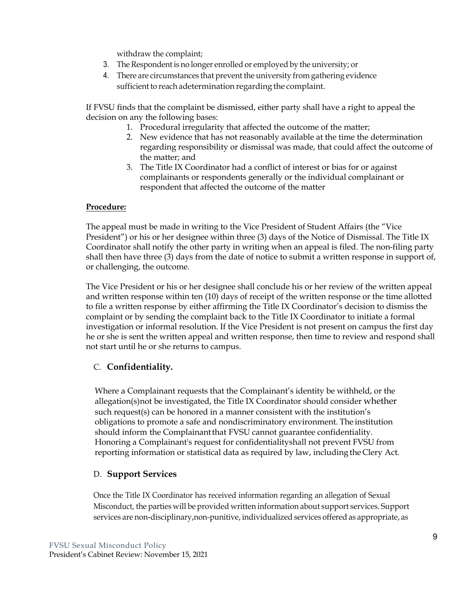withdraw the complaint;

- 3. The Respondent is no longer enrolled or employed by the university; or
- 4. There are circumstances that prevent the university from gathering evidence sufficient to reach adetermination regarding the complaint.

If FVSU finds that the complaint be dismissed, either party shall have a right to appeal the decision on any the following bases:

- 1. Procedural irregularity that affected the outcome of the matter;
- 2. New evidence that has not reasonably available at the time the determination regarding responsibility or dismissal was made, that could affect the outcome of the matter; and
- 3. The Title IX Coordinator had a conflict of interest or bias for or against complainants or respondents generally or the individual complainant or respondent that affected the outcome of the matter

#### **Procedure:**

The appeal must be made in writing to the Vice President of Student Affairs (the "Vice President") or his or her designee within three (3) days of the Notice of Dismissal. The Title IX Coordinator shall notify the other party in writing when an appeal is filed. The non-filing party shall then have three (3) days from the date of notice to submit a written response in support of, or challenging, the outcome.

The Vice President or his or her designee shall conclude his or her review of the written appeal and written response within ten (10) days of receipt of the written response or the time allotted to file a written response by either affirming the Title IX Coordinator's decision to dismiss the complaint or by sending the complaint back to the Title IX Coordinator to initiate a formal investigation or informal resolution. If the Vice President is not present on campus the first day he or she is sent the written appeal and written response, then time to review and respond shall not start until he or she returns to campus.

#### C. **Confidentiality.**

Where a Complainant requests that the Complainant's identity be withheld, or the allegation(s)not be investigated, the Title IX Coordinator should consider whether such request(s) can be honored in a manner consistent with the institution's obligations to promote a safe and nondiscriminatory environment. The institution should inform the Complainantthat FVSU cannot guarantee confidentiality. Honoring a Complainant's request for confidentialityshall not prevent FVSU from reporting information or statistical data as required by law, including the Clery Act.

#### D. **Support Services**

Once the Title IX Coordinator has received information regarding an allegation of Sexual Misconduct, the parties will be provided written information about support services. Support services are non-disciplinary,non-punitive, individualized services offered as appropriate, as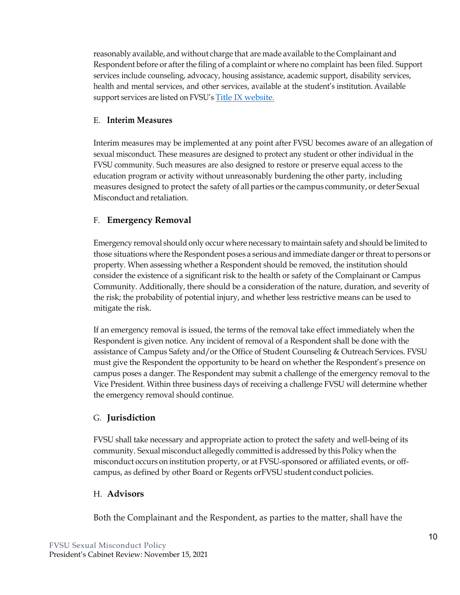reasonably available, and without charge that are made available to the Complainant and Respondent before or after the filing of a complaint or where no complaint has been filed. Support services include counseling, advocacy, housing assistance, academic support, disability services, health and mental services, and other services, available at the student's institution. Available support services are listed on FVSU's Title IX website.

#### E. **Interim Measures**

Interim measures may be implemented at any point after FVSU becomes aware of an allegation of sexual misconduct. These measures are designed to protect any student or other individual in the FVSU community. Such measures are also designed to restore or preserve equal access to the education program or activity without unreasonably burdening the other party, including measures designed to protect the safety of all parties or the campus community, or deter Sexual Misconduct and retaliation.

## F. **Emergency Removal**

Emergency removal should only occur where necessary to maintain safety and should be limited to those situations where the Respondent poses a serious and immediate danger orthreat to persons or property. When assessing whether a Respondent should be removed, the institution should consider the existence of a significant risk to the health or safety of the Complainant or Campus Community. Additionally, there should be a consideration of the nature, duration, and severity of the risk; the probability of potential injury, and whether less restrictive means can be used to mitigate the risk.

If an emergency removal is issued, the terms of the removal take effect immediately when the Respondent is given notice. Any incident of removal of a Respondent shall be done with the assistance of Campus Safety and/or the Office of Student Counseling & Outreach Services. FVSU must give the Respondent the opportunity to be heard on whether the Respondent's presence on campus poses a danger. The Respondent may submit a challenge of the emergency removal to the Vice President. Within three business days of receiving a challenge FVSU will determine whether the emergency removal should continue.

### G. **Jurisdiction**

FVSU shall take necessary and appropriate action to protect the safety and well-being of its community. Sexual misconduct allegedly committed is addressed by this Policy when the misconduct occurs on institution property, or at FVSU-sponsored or affiliated events, or offcampus, as defined by other Board or Regents or FVSU student conduct policies.

### H. **Advisors**

Both the Complainant and the Respondent, as parties to the matter, shall have the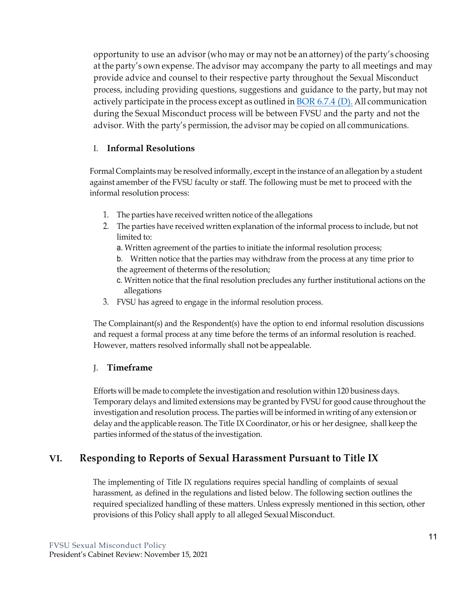opportunity to use an advisor (who may or may not be an attorney) of the party's choosing at the party's own expense. The advisor may accompany the party to all meetings and may provide advice and counsel to their respective party throughout the Sexual Misconduct process, including providing questions, suggestions and guidance to the party, but may not actively participate in the process except as outlined in  $\underline{BOR}$  6.7.4 (D). All communication during the Sexual Misconduct process will be between FVSU and the party and not the advisor. With the party's permission, the advisor may be copied on all communications.

### I. **Informal Resolutions**

Formal Complaints may be resolved informally, except in the instance of an allegation by a student against amember of the FVSU faculty or staff. The following must be met to proceed with the informal resolution process:

- 1. The parties have received written notice of the allegations
- 2. The parties have received written explanation of the informal process to include, but not limited to:
	- a. Written agreement of the parties to initiate the informal resolution process;
	- b. Written notice that the parties may withdraw from the process at any time prior to the agreement of theterms of the resolution;
	- c. Written notice that the final resolution precludes any further institutional actions on the allegations
- 3. FVSU has agreed to engage in the informal resolution process.

The Complainant(s) and the Respondent(s) have the option to end informal resolution discussions and request a formal process at any time before the terms of an informal resolution is reached. However, matters resolved informally shall not be appealable.

### J. **Timeframe**

Efforts will be made to complete the investigation and resolution within 120 business days. Temporary delays and limited extensions may be granted by FVSU for good cause throughout the investigation and resolution process. The parties will be informed in writing of any extension or delay and the applicable reason. The Title IX Coordinator, or his or her designee, shall keep the parties informed of the status of the investigation.

# **VI. Responding to Reports of Sexual Harassment Pursuant to Title IX**

The implementing of Title IX regulations requires special handling of complaints of sexual harassment, as defined in the regulations and listed below. The following section outlines the required specialized handling of these matters. Unless expressly mentioned in this section, other provisions of this Policy shall apply to all alleged SexualMisconduct.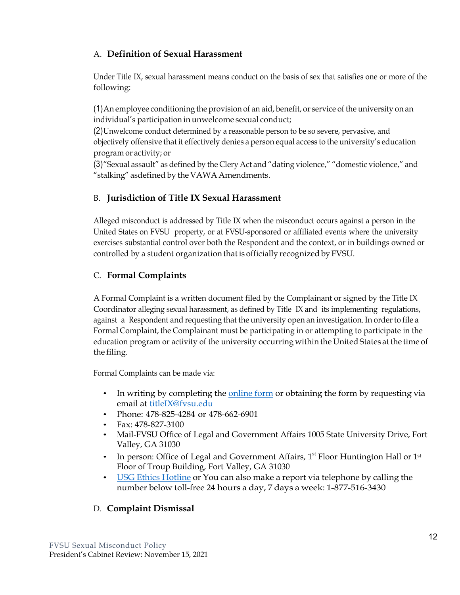## A. **Definition of Sexual Harassment**

Under Title IX, sexual harassment means conduct on the basis of sex that satisfies one or more of the following:

(1)An employee conditioning the provision of an aid, benefit, or service of the university on an individual's participation in unwelcome sexual conduct;

(2)Unwelcome conduct determined by a reasonable person to be so severe, pervasive, and objectively offensive that it effectively denies a person equal access to the university's education program or activity; or

(3)"Sexual assault" as defined by the Clery Act and "dating violence," "domestic violence," and "stalking" asdefined by the VAWA Amendments.

## B. **Jurisdiction of Title IX Sexual Harassment**

Alleged misconduct is addressed by Title IX when the misconduct occurs against a person in the United States on FVSU property, or at FVSU-sponsored or affiliated events where the university exercises substantial control over both the Respondent and the context, or in buildings owned or controlled by a student organization that is officially recognized by FVSU.

## C. **Formal Complaints**

A Formal Complaint is a written document filed by the Complainant or signed by the Title IX Coordinator alleging sexual harassment, as defined by Title IX and its implementing regulations, against a Respondent and requesting that the university open an investigation. In orderto file a Formal Complaint, the Complainant must be participating in or attempting to participate in the education program or activity of the university occurring within the United States at the time of the filing.

Formal Complaints can be made via:

- In writing by completing the online form or obtaining the form by requesting via email at titleIX@fvsu.edu
- Phone: 478-825-4284 or 478-662-6901
- Fax: 478-827-3100
- Mail-FVSU Office of Legal and Government Affairs 1005 State University Drive, Fort Valley, GA 31030
- In person: Office of Legal and Government Affairs,  $1<sup>st</sup>$  Floor Huntington Hall or  $1<sup>st</sup>$ Floor of Troup Building, Fort Valley, GA 31030
- USG Ethics Hotline or You can also make a report via telephone by calling the number below toll-free 24 hours a day, 7 days a week: 1-877-516-3430

## D. **Complaint Dismissal**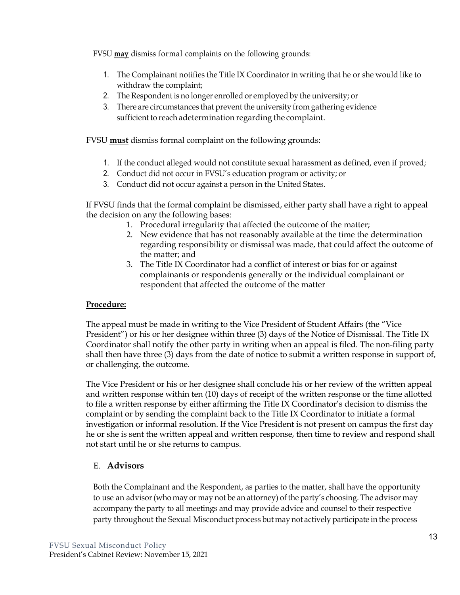FVSU **may** dismiss formal complaints on the following grounds:

- 1. The Complainant notifies the Title IX Coordinator in writing that he or she would like to withdraw the complaint;
- 2. The Respondent is no longer enrolled or employed by the university; or
- 3. There are circumstances that prevent the university from gathering evidence sufficient to reach adetermination regarding the complaint.

FVSU **must** dismiss formal complaint on the following grounds:

- 1. If the conduct alleged would not constitute sexual harassment as defined, even if proved;
- 2. Conduct did not occur in FVSU's education program or activity; or
- 3. Conduct did not occur against a person in the United States.

If FVSU finds that the formal complaint be dismissed, either party shall have a right to appeal the decision on any the following bases:

- 1. Procedural irregularity that affected the outcome of the matter;
- 2. New evidence that has not reasonably available at the time the determination regarding responsibility or dismissal was made, that could affect the outcome of the matter; and
- 3. The Title IX Coordinator had a conflict of interest or bias for or against complainants or respondents generally or the individual complainant or respondent that affected the outcome of the matter

#### **Procedure:**

The appeal must be made in writing to the Vice President of Student Affairs (the "Vice President") or his or her designee within three (3) days of the Notice of Dismissal. The Title IX Coordinator shall notify the other party in writing when an appeal is filed. The non-filing party shall then have three (3) days from the date of notice to submit a written response in support of, or challenging, the outcome.

The Vice President or his or her designee shall conclude his or her review of the written appeal and written response within ten (10) days of receipt of the written response or the time allotted to file a written response by either affirming the Title IX Coordinator's decision to dismiss the complaint or by sending the complaint back to the Title IX Coordinator to initiate a formal investigation or informal resolution. If the Vice President is not present on campus the first day he or she is sent the written appeal and written response, then time to review and respond shall not start until he or she returns to campus.

### E. **Advisors**

Both the Complainant and the Respondent, as parties to the matter, shall have the opportunity to use an advisor (who may or may not be an attorney) of the party's choosing. The advisor may accompany the party to all meetings and may provide advice and counsel to their respective party throughout the Sexual Misconduct process but may not actively participate in the process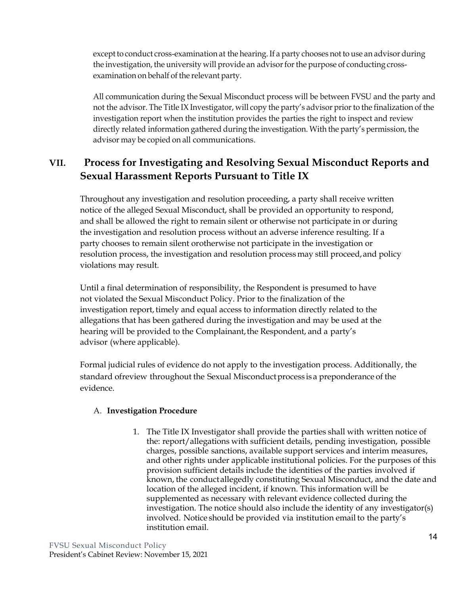except to conduct cross-examination at the hearing. If a party chooses not to use an advisor during the investigation, the university will provide an advisor for the purpose of conducting crossexamination on behalf of the relevant party.

All communication during the Sexual Misconduct process will be between FVSU and the party and not the advisor. The Title IX Investigator, will copy the party's advisor prior to the finalization of the investigation report when the institution provides the parties the right to inspect and review directly related information gathered during the investigation. With the party's permission, the advisor may be copied on all communications.

# **VII. Process for Investigating and Resolving Sexual Misconduct Reports and Sexual Harassment Reports Pursuant to Title IX**

Throughout any investigation and resolution proceeding, a party shall receive written notice of the alleged Sexual Misconduct, shall be provided an opportunity to respond, and shall be allowed the right to remain silent or otherwise not participate in or during the investigation and resolution process without an adverse inference resulting. If a party chooses to remain silent orotherwise not participate in the investigation or resolution process, the investigation and resolution processmay still proceed,and policy violations may result.

Until a final determination of responsibility, the Respondent is presumed to have not violated the Sexual Misconduct Policy. Prior to the finalization of the investigation report, timely and equal access to information directly related to the allegations that has been gathered during the investigation and may be used at the hearing will be provided to the Complainant, the Respondent, and a party's advisor (where applicable).

Formal judicial rules of evidence do not apply to the investigation process. Additionally, the standard of review throughout the Sexual Misconduct process is a preponderance of the evidence.

#### A. **Investigation Procedure**

1. The Title IX Investigator shall provide the parties shall with written notice of the: report/allegations with sufficient details, pending investigation, possible charges, possible sanctions, available support services and interim measures, and other rights under applicable institutional policies. For the purposes of this provision sufficient details include the identities of the parties involved if known, the conductallegedly constituting Sexual Misconduct, and the date and location of the alleged incident, if known. This information will be supplemented as necessary with relevant evidence collected during the investigation. The notice should also include the identity of any investigator(s) involved. Notice should be provided via institution email to the party's institution email.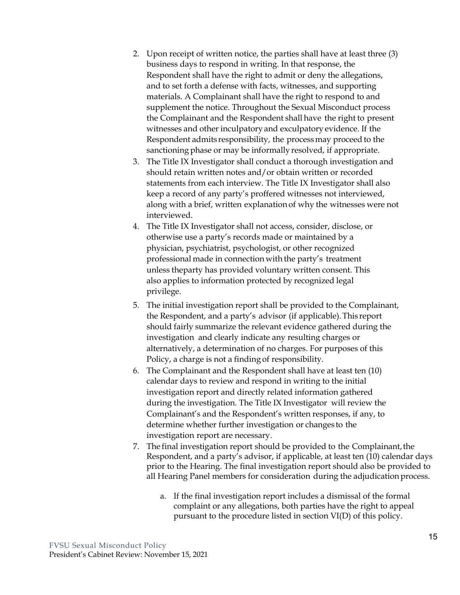- 2. Upon receipt of written notice, the parties shall have at least three (3) business days to respond in writing. In that response, the Respondent shall have the right to admit or deny the allegations, and to set forth a defense with facts, witnesses, and supporting materials. A Complainant shall have the right to respond to and supplement the notice. Throughout the Sexual Misconduct process the Complainant and the Respondent shall have the right to present witnesses and other inculpatoryand exculpatory evidence. If the Respondent admits responsibility, the processmay proceed to the sanctioning phase or may be informally resolved, if appropriate.
- 3. The Title IX Investigator shall conduct a thorough investigation and should retain written notes and/or obtain written or recorded statements from each interview. The Title IX Investigator shall also keep a record of any party's proffered witnesses not interviewed, along with a brief, written explanation of why the witnesses were not interviewed.
- 4. The Title IX Investigator shall not access, consider, disclose, or otherwise use a party's records made or maintained by a physician, psychiatrist, psychologist, or other recognized professional made in connection with the party's treatment unless theparty has provided voluntary written consent. This also applies to information protected by recognized legal privilege.
- 5. The initial investigation report shall be provided to the Complainant, the Respondent, and a party's advisor (if applicable).This report should fairly summarize the relevant evidence gathered during the investigation and clearly indicate any resulting charges or alternatively, a determination of no charges. For purposes of this Policy, a charge is not a finding of responsibility.
- 6. The Complainant and the Respondent shall have at least ten (10) calendar days to review and respond in writing to the initial investigation report and directly related information gathered during the investigation. The Title IX Investigator will review the Complainant's and the Respondent's written responses, if any, to determine whether further investigation or changes to the investigation report are necessary.
- 7. The final investigation report should be provided to the Complainant, the Respondent, and a party's advisor, if applicable, at least ten (10) calendar days prior to the Hearing. The final investigation report should also be provided to all Hearing Panel members for consideration during the adjudication process.
	- a. If the final investigation report includes a dismissal of the formal complaint or any allegations, both parties have the right to appeal pursuant to the procedure listed in section VI(D) of this policy.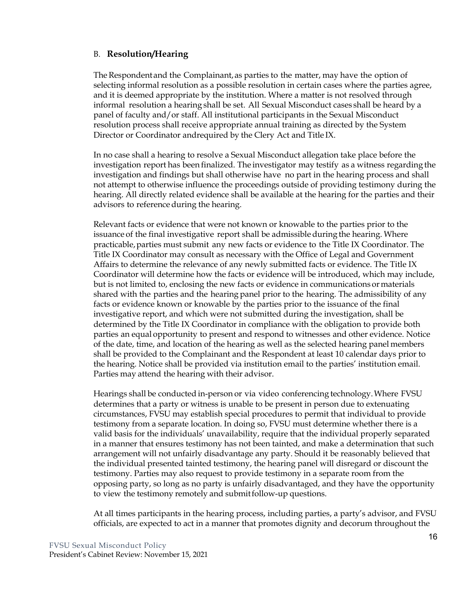#### B. **Resolution/Hearing**

The Respondent and the Complainant, as parties to the matter, may have the option of selecting informal resolution as a possible resolution in certain cases where the parties agree, and it is deemed appropriate by the institution. Where a matter is not resolved through informal resolution a hearing shall be set. All Sexual Misconduct cases shall be heard by a panel of faculty and/or staff. All institutional participants in the Sexual Misconduct resolution process shall receive appropriate annual training as directed by the System Director or Coordinator andrequired by the Clery Act and Title IX.

In no case shall a hearing to resolve a Sexual Misconduct allegation take place before the investigation report has been finalized. The investigator may testify as a witness regarding the investigation and findings but shall otherwise have no part in the hearing process and shall not attempt to otherwise influence the proceedings outside of providing testimony during the hearing. All directly related evidence shall be available at the hearing for the parties and their advisors to reference during the hearing.

Relevant facts or evidence that were not known or knowable to the parties prior to the issuance of the final investigative report shall be admissible during the hearing. Where practicable,parties must submit any new facts or evidence to the Title IX Coordinator. The Title IX Coordinator may consult as necessary with the Office of Legal and Government Affairs to determine the relevance of any newly submitted facts or evidence. The Title IX Coordinator will determine how the facts or evidence will be introduced, which may include, but is not limited to, enclosing the new facts or evidence in communications or materials shared with the parties and the hearing panel prior to the hearing. The admissibility of any facts or evidence known or knowable by the parties prior to the issuance of the final investigative report, and which were not submitted during the investigation, shall be determined by the Title IX Coordinator in compliance with the obligation to provide both parties an equal opportunity to present and respond to witnesses and other evidence. Notice of the date, time, and location of the hearing as well as the selected hearing panel members shall be provided to the Complainant and the Respondent at least 10 calendar days prior to the hearing. Notice shall be provided via institution email to the parties' institution email. Parties may attend the hearing with their advisor.

Hearings shall be conducted in-person or via video conferencing technology.Where FVSU determines that a party or witness is unable to be present in person due to extenuating circumstances, FVSU may establish special procedures to permit that individual to provide testimony from a separate location. In doing so, FVSU must determine whether there is a valid basis for the individuals' unavailability, require that the individual properly separated in a manner that ensures testimony has not been tainted, and make a determination that such arrangement will not unfairly disadvantage any party. Should it be reasonably believed that the individual presented tainted testimony, the hearing panel will disregard or discount the testimony. Parties may also request to provide testimony in a separate room from the opposing party, so long as no party is unfairly disadvantaged, and they have the opportunity to view the testimony remotely and submitfollow-up questions.

At all times participants in the hearing process, including parties, a party's advisor, and FVSU officials, are expected to act in a manner that promotes dignity and decorum throughout the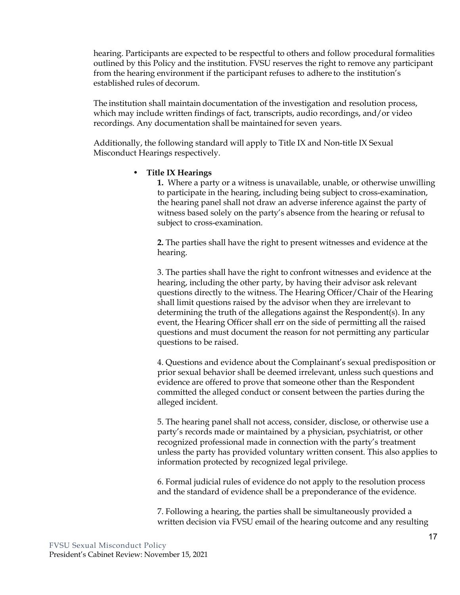hearing. Participants are expected to be respectful to others and follow procedural formalities outlined by this Policy and the institution. FVSU reserves the right to remove any participant from the hearing environment if the participant refuses to adhere to the institution's established rules of decorum.

The institution shall maintain documentation of the investigation and resolution process, which may include written findings of fact, transcripts, audio recordings, and/or video recordings. Any documentation shall be maintained for seven years.

Additionally, the following standard will apply to Title IX and Non-title IX Sexual Misconduct Hearings respectively.

#### • **Title IX Hearings**

**1.** Where a party or a witness is unavailable, unable, or otherwise unwilling to participate in the hearing, including being subject to cross-examination, the hearing panel shall not draw an adverse inference against the party of witness based solely on the party's absence from the hearing or refusal to subject to cross-examination.

**2.** The parties shall have the right to present witnesses and evidence at the hearing.

3. The parties shall have the right to confront witnesses and evidence at the hearing, including the other party, by having their advisor ask relevant questions directly to the witness. The Hearing Officer/Chair of the Hearing shall limit questions raised by the advisor when they are irrelevant to determining the truth of the allegations against the Respondent(s). In any event, the Hearing Officer shall err on the side of permitting all the raised questions and must document the reason for not permitting any particular questions to be raised.

4. Questions and evidence about the Complainant's sexual predisposition or prior sexual behavior shall be deemed irrelevant, unless such questions and evidence are offered to prove that someone other than the Respondent committed the alleged conduct or consent between the parties during the alleged incident.

5. The hearing panel shall not access, consider, disclose, or otherwise use a party's records made or maintained by a physician, psychiatrist, or other recognized professional made in connection with the party's treatment unless the party has provided voluntary written consent. This also applies to information protected by recognized legal privilege.

6. Formal judicial rules of evidence do not apply to the resolution process and the standard of evidence shall be a preponderance of the evidence.

7. Following a hearing, the parties shall be simultaneously provided a written decision via FVSU email of the hearing outcome and any resulting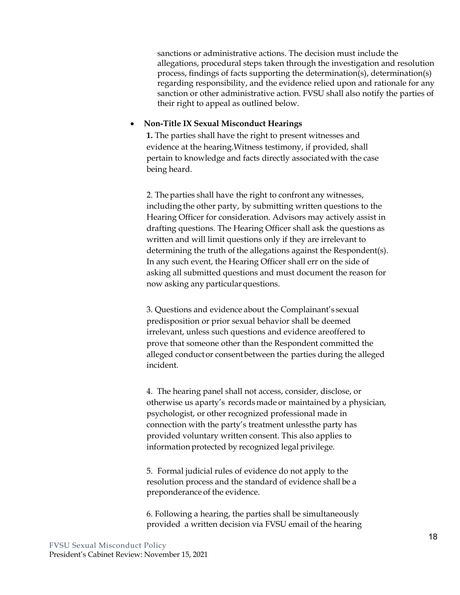sanctions or administrative actions. The decision must include the allegations, procedural steps taken through the investigation and resolution process, findings of facts supporting the determination(s), determination(s) regarding responsibility, and the evidence relied upon and rationale for any sanction or other administrative action. FVSU shall also notify the parties of their right to appeal as outlined below.

#### • **Non-Title IX Sexual Misconduct Hearings**

**1.** The parties shall have the right to present witnesses and evidence at the hearing.Witness testimony, if provided, shall pertain to knowledge and facts directly associated with the case being heard.

2. The parties shall have the right to confront any witnesses, including the other party, by submitting written questions to the Hearing Officer for consideration. Advisors may actively assist in drafting questions. The Hearing Officer shall ask the questions as written and will limit questions only if they are irrelevant to determining the truth of the allegations against the Respondent(s). In any such event, the Hearing Officer shall err on the side of asking all submitted questions and must document the reason for now asking any particular questions.

3. Questions and evidence about the Complainant's sexual predisposition or prior sexual behavior shall be deemed irrelevant, unless such questions and evidence areoffered to prove that someone other than the Respondent committed the alleged conductor consentbetween the parties during the alleged incident.

4. The hearing panel shall not access, consider, disclose, or otherwise us aparty's recordsmade or maintained by a physician, psychologist, or other recognized professional made in connection with the party's treatment unlessthe party has provided voluntary written consent. This also applies to information protected by recognized legal privilege.

5. Formal judicial rules of evidence do not apply to the resolution process and the standard of evidence shall be a preponderance of the evidence.

6. Following a hearing, the parties shall be simultaneously provided a written decision via FVSU email of the hearing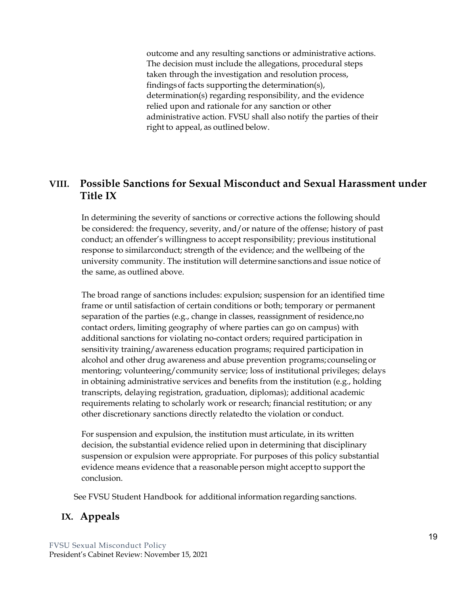outcome and any resulting sanctions or administrative actions. The decision must include the allegations, procedural steps taken through the investigation and resolution process, findingsof facts supporting the determination(s), determination(s) regarding responsibility, and the evidence relied upon and rationale for any sanction or other administrative action. FVSU shall also notify the parties of their right to appeal, as outlined below.

## **VIII. Possible Sanctions for Sexual Misconduct and Sexual Harassment under Title IX**

In determining the severity of sanctions or corrective actions the following should be considered: the frequency, severity, and/or nature of the offense; history of past conduct; an offender's willingness to accept responsibility; previous institutional response to similarconduct; strength of the evidence; and the wellbeing of the university community. The institution will determine sanctions and issue notice of the same, as outlined above.

The broad range of sanctions includes: expulsion; suspension for an identified time frame or until satisfaction of certain conditions or both; temporary or permanent separation of the parties (e.g., change in classes, reassignment of residence,no contact orders, limiting geography of where parties can go on campus) with additional sanctions for violating no-contact orders; required participation in sensitivity training/awareness education programs; required participation in alcohol and other drug awareness and abuse prevention programs; counseling or mentoring; volunteering/community service; loss of institutional privileges; delays in obtaining administrative services and benefits from the institution (e.g., holding transcripts, delaying registration, graduation, diplomas); additional academic requirements relating to scholarly work or research; financial restitution; or any other discretionary sanctions directly relatedto the violation or conduct.

For suspension and expulsion, the institution must articulate, in its written decision, the substantial evidence relied upon in determining that disciplinary suspension or expulsion were appropriate. For purposes of this policy substantial evidence means evidence that a reasonable person might acceptto support the conclusion.

See FVSU Student Handbook for additional information regarding sanctions.

## **IX. Appeals**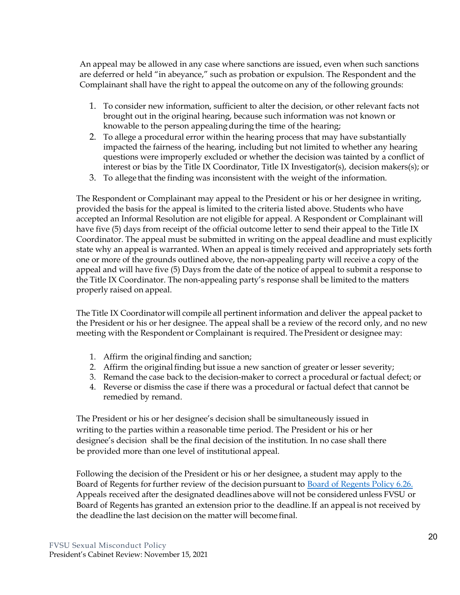An appeal may be allowed in any case where sanctions are issued, even when such sanctions are deferred or held "in abeyance," such as probation or expulsion. The Respondent and the Complainant shall have the right to appeal the outcome on any of the following grounds:

- 1. To consider new information, sufficient to alter the decision, or other relevant facts not brought out in the original hearing, because such information was not known or knowable to the person appealing during the time of the hearing;
- 2. To allege a procedural error within the hearing process that may have substantially impacted the fairness of the hearing, including but not limited to whether any hearing questions were improperly excluded or whether the decision was tainted by a conflict of interest or bias by the Title IX Coordinator, Title IX Investigator(s), decision makers(s); or
- 3. To allege that the finding was inconsistent with the weight of the information.

The Respondent or Complainant may appeal to the President or his or her designee in writing, provided the basis for the appeal is limited to the criteria listed above. Students who have accepted an Informal Resolution are not eligible for appeal. A Respondent or Complainant will have five (5) days from receipt of the official outcome letter to send their appeal to the Title IX Coordinator. The appeal must be submitted in writing on the appeal deadline and must explicitly state why an appeal is warranted. When an appeal is timely received and appropriately sets forth one or more of the grounds outlined above, the non-appealing party will receive a copy of the appeal and will have five (5) Days from the date of the notice of appeal to submit a response to the Title IX Coordinator. The non-appealing party's response shall be limited to the matters properly raised on appeal.

The Title IX Coordinatorwill compile all pertinent information and deliver the appeal packet to the President or his or her designee. The appeal shall be a review of the record only, and no new meeting with the Respondent or Complainant is required. The President or designee may:

- 1. Affirm the original finding and sanction;
- 2. Affirm the original finding but issue a new sanction of greater or lesser severity;
- 3. Remand the case back to the decision-maker to correct a procedural or factual defect; or
- 4. Reverse or dismiss the case if there was a procedural or factual defect that cannot be remedied by remand.

The President or his or her designee's decision shall be simultaneously issued in writing to the parties within a reasonable time period. The President or his or her designee's decision shall be the final decision of the institution. In no case shall there be provided more than one level of institutional appeal.

Following the decision of the President or his or her designee, a student may apply to the Board of Regents for further review of the decision pursuant to Board of Regents Policy 6.26. Appeals received after the designated deadlines above will not be considered unless FVSU or Board of Regents has granted an extension prior to the deadline.If an appeal is not received by the deadline the last decision on the matter will become final.